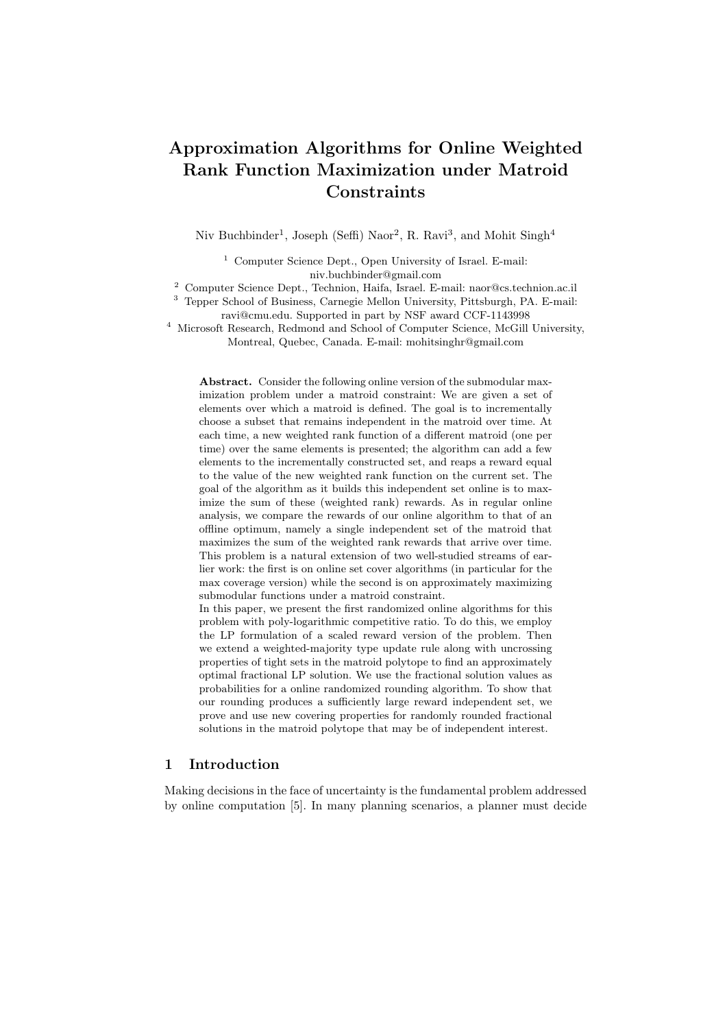# Approximation Algorithms for Online Weighted Rank Function Maximization under Matroid **Constraints**

Niv Buchbinder<sup>1</sup>, Joseph (Seffi) Naor<sup>2</sup>, R. Ravi<sup>3</sup>, and Mohit Singh<sup>4</sup>

<sup>1</sup> Computer Science Dept., Open University of Israel. E-mail: niv.buchbinder@gmail.com

<sup>2</sup> Computer Science Dept., Technion, Haifa, Israel. E-mail: naor@cs.technion.ac.il

<sup>3</sup> Tepper School of Business, Carnegie Mellon University, Pittsburgh, PA. E-mail: ravi@cmu.edu. Supported in part by NSF award CCF-1143998

<sup>4</sup> Microsoft Research, Redmond and School of Computer Science, McGill University, Montreal, Quebec, Canada. E-mail: mohitsinghr@gmail.com

Abstract. Consider the following online version of the submodular maximization problem under a matroid constraint: We are given a set of elements over which a matroid is defined. The goal is to incrementally choose a subset that remains independent in the matroid over time. At each time, a new weighted rank function of a different matroid (one per time) over the same elements is presented; the algorithm can add a few elements to the incrementally constructed set, and reaps a reward equal to the value of the new weighted rank function on the current set. The goal of the algorithm as it builds this independent set online is to maximize the sum of these (weighted rank) rewards. As in regular online analysis, we compare the rewards of our online algorithm to that of an offline optimum, namely a single independent set of the matroid that maximizes the sum of the weighted rank rewards that arrive over time. This problem is a natural extension of two well-studied streams of earlier work: the first is on online set cover algorithms (in particular for the max coverage version) while the second is on approximately maximizing submodular functions under a matroid constraint.

In this paper, we present the first randomized online algorithms for this problem with poly-logarithmic competitive ratio. To do this, we employ the LP formulation of a scaled reward version of the problem. Then we extend a weighted-majority type update rule along with uncrossing properties of tight sets in the matroid polytope to find an approximately optimal fractional LP solution. We use the fractional solution values as probabilities for a online randomized rounding algorithm. To show that our rounding produces a sufficiently large reward independent set, we prove and use new covering properties for randomly rounded fractional solutions in the matroid polytope that may be of independent interest.

# 1 Introduction

Making decisions in the face of uncertainty is the fundamental problem addressed by online computation [5]. In many planning scenarios, a planner must decide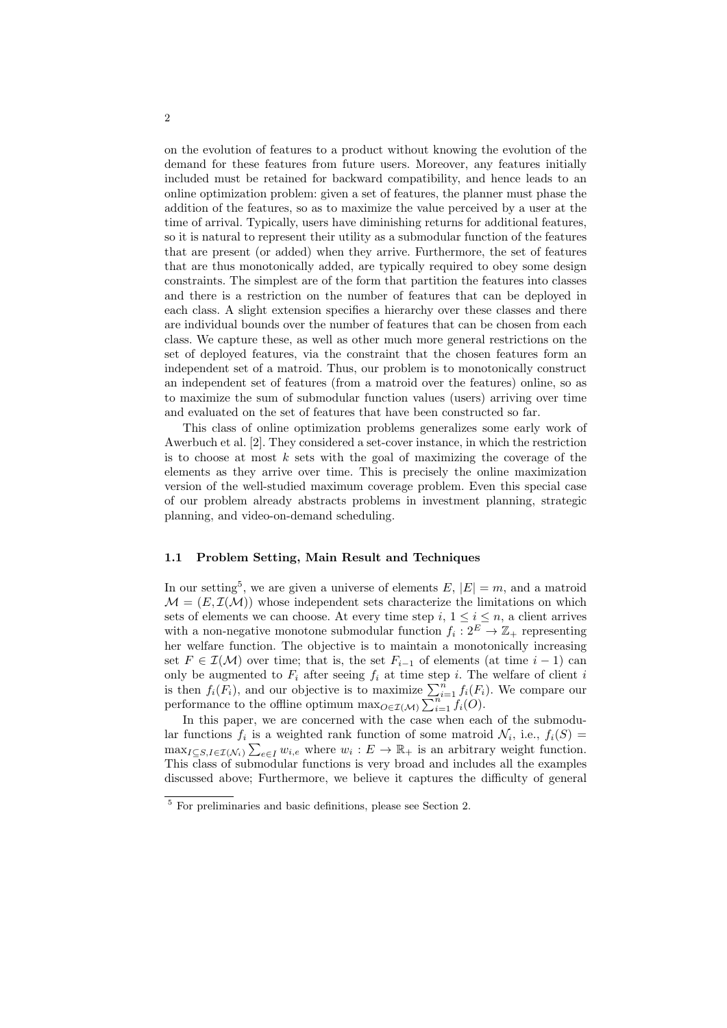on the evolution of features to a product without knowing the evolution of the demand for these features from future users. Moreover, any features initially included must be retained for backward compatibility, and hence leads to an online optimization problem: given a set of features, the planner must phase the addition of the features, so as to maximize the value perceived by a user at the time of arrival. Typically, users have diminishing returns for additional features, so it is natural to represent their utility as a submodular function of the features that are present (or added) when they arrive. Furthermore, the set of features that are thus monotonically added, are typically required to obey some design constraints. The simplest are of the form that partition the features into classes and there is a restriction on the number of features that can be deployed in each class. A slight extension specifies a hierarchy over these classes and there are individual bounds over the number of features that can be chosen from each class. We capture these, as well as other much more general restrictions on the set of deployed features, via the constraint that the chosen features form an independent set of a matroid. Thus, our problem is to monotonically construct an independent set of features (from a matroid over the features) online, so as to maximize the sum of submodular function values (users) arriving over time and evaluated on the set of features that have been constructed so far.

This class of online optimization problems generalizes some early work of Awerbuch et al. [2]. They considered a set-cover instance, in which the restriction is to choose at most  $k$  sets with the goal of maximizing the coverage of the elements as they arrive over time. This is precisely the online maximization version of the well-studied maximum coverage problem. Even this special case of our problem already abstracts problems in investment planning, strategic planning, and video-on-demand scheduling.

### 1.1 Problem Setting, Main Result and Techniques

In our setting<sup>5</sup>, we are given a universe of elements  $E, |E| = m$ , and a matroid  $\mathcal{M} = (E, \mathcal{I}(\mathcal{M}))$  whose independent sets characterize the limitations on which sets of elements we can choose. At every time step i,  $1 \leq i \leq n$ , a client arrives with a non-negative monotone submodular function  $f_i: 2^E \to \mathbb{Z}_+$  representing her welfare function. The objective is to maintain a monotonically increasing set  $F \in \mathcal{I}(\mathcal{M})$  over time; that is, the set  $F_{i-1}$  of elements (at time  $i-1$ ) can only be augmented to  $F_i$  after seeing  $f_i$  at time step i. The welfare of client i is then  $f_i(F_i)$ , and our objective is to maximize  $\sum_{i=1}^n f_i(F_i)$ . We compare our performance to the offline optimum  $\max_{O \in \mathcal{I}(\mathcal{M})} \sum_{i=1}^{n} f_i(O)$ .

In this paper, we are concerned with the case when each of the submodular functions  $f_i$  is a weighted rank function of some matroid  $\mathcal{N}_i$ , i.e.,  $f_i(S)$  $\max_{I \subseteq S, I \in \mathcal{I}(\mathcal{N}_i)} \sum_{e \in I} w_{i,e}$  where  $w_i : E \to \mathbb{R}_+$  is an arbitrary weight function. This class of submodular functions is very broad and includes all the examples discussed above; Furthermore, we believe it captures the difficulty of general

<sup>5</sup> For preliminaries and basic definitions, please see Section 2.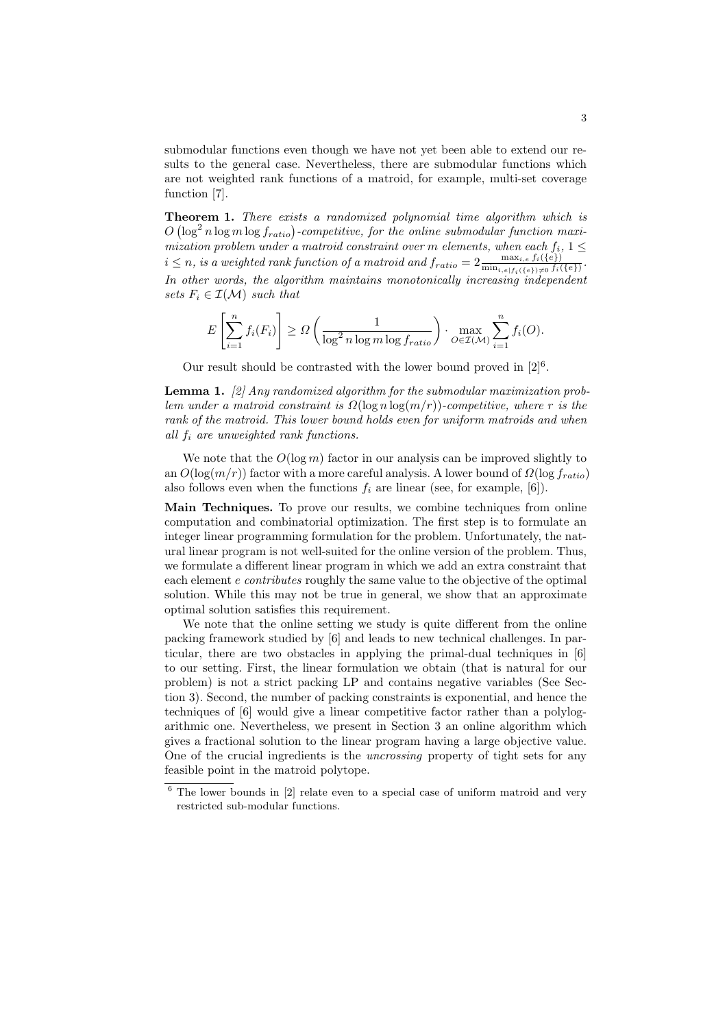submodular functions even though we have not yet been able to extend our results to the general case. Nevertheless, there are submodular functions which are not weighted rank functions of a matroid, for example, multi-set coverage function [7].

Theorem 1. There exists a randomized polynomial time algorithm which is  $O\left(\log^2 n \log m \log f_{ratio}\right)$ -competitive, for the online submodular function maximization problem under a matroid constraint over m elements, when each  $f_i$ ,  $1 \leq$  $i \leq n$ , is a weighted rank function of a matroid and  $f_{ratio} = 2 \frac{\max_{i,e} f_i(\{e\})}{\min_{i,e|f_i(\{e\}) \neq 0} f_i(\{e\})}$ . In other words, the algorithm maintains monotonically increasing independent sets  $F_i \in \mathcal{I}(\mathcal{M})$  such that

$$
E\left[\sum_{i=1}^{n} f_i(F_i)\right] \geq \Omega\left(\frac{1}{\log^2 n \log m \log f_{ratio}}\right) \cdot \max_{O \in \mathcal{I}(\mathcal{M})} \sum_{i=1}^{n} f_i(O).
$$

Our result should be contrasted with the lower bound proved in  $[2]^6$ .

**Lemma 1.** [2] Any randomized algorithm for the submodular maximization problem under a matroid constraint is  $\Omega(\log n \log(m/r))$ -competitive, where r is the rank of the matroid. This lower bound holds even for uniform matroids and when all  $f_i$  are unweighted rank functions.

We note that the  $O(\log m)$  factor in our analysis can be improved slightly to an  $O(\log(m/r))$  factor with a more careful analysis. A lower bound of  $\Omega(\log f_{ratio})$ also follows even when the functions  $f_i$  are linear (see, for example, [6]).

Main Techniques. To prove our results, we combine techniques from online computation and combinatorial optimization. The first step is to formulate an integer linear programming formulation for the problem. Unfortunately, the natural linear program is not well-suited for the online version of the problem. Thus, we formulate a different linear program in which we add an extra constraint that each element  $e$  contributes roughly the same value to the objective of the optimal solution. While this may not be true in general, we show that an approximate optimal solution satisfies this requirement.

We note that the online setting we study is quite different from the online packing framework studied by [6] and leads to new technical challenges. In particular, there are two obstacles in applying the primal-dual techniques in [6] to our setting. First, the linear formulation we obtain (that is natural for our problem) is not a strict packing LP and contains negative variables (See Section 3). Second, the number of packing constraints is exponential, and hence the techniques of [6] would give a linear competitive factor rather than a polylogarithmic one. Nevertheless, we present in Section 3 an online algorithm which gives a fractional solution to the linear program having a large objective value. One of the crucial ingredients is the uncrossing property of tight sets for any feasible point in the matroid polytope.

 $6$  The lower bounds in [2] relate even to a special case of uniform matroid and very restricted sub-modular functions.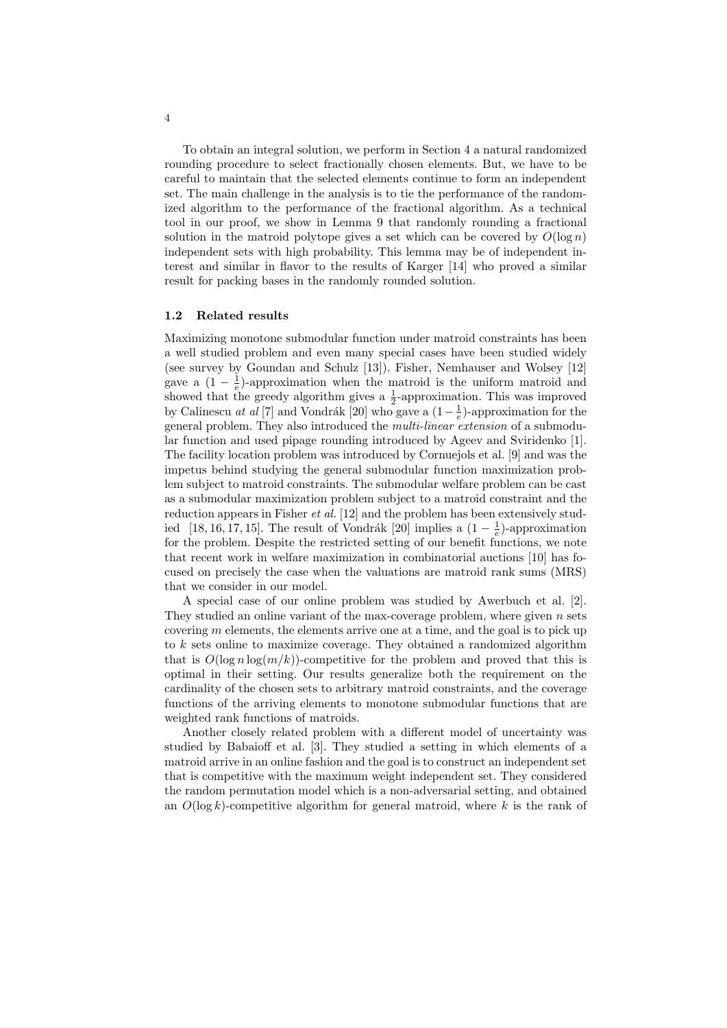To obtain an integral solution, we perform in Section 4 a natural randomized rounding procedure to select fractionally chosen elements. But, we have to be careful to maintain that the selected elements continue to form an independent set. The main challenge in the analysis is to tie the performance of the randomized algorithm to the performance of the fractional algorithm. As a technical tool in our proof, we show in Lemma 9 that randomly rounding a fractional solution in the matroid polytope gives a set which can be covered by  $O(\log n)$ independent sets with high probability. This lemma may be of independent interest and similar in flavor to the results of Karger [14] who proved a similar result for packing bases in the randomly rounded solution.

### 1.2 Related results

Maximizing monotone submodular function under matroid constraints has been a well studied problem and even many special cases have been studied widely (see survey by Goundan and Schulz [13]). Fisher, Nemhauser and Wolsey [12] gave a  $(1 - \frac{1}{e})$ -approximation when the matroid is the uniform matroid and showed that the greedy algorithm gives a  $\frac{1}{2}$ -approximation. This was improved by Calinescu *at al* [7] and Vondrák [20] who gave a  $(1 - \frac{1}{e})$ -approximation for the general problem. They also introduced the multi-linear extension of a submodular function and used pipage rounding introduced by Ageev and Sviridenko [1]. The facility location problem was introduced by Cornuejols et al. [9] and was the impetus behind studying the general submodular function maximization problem subject to matroid constraints. The submodular welfare problem can be cast as a submodular maximization problem subject to a matroid constraint and the reduction appears in Fisher  $et$   $al.$  [12] and the problem has been extensively studied [18, 16, 17, 15]. The result of Vondrák [20] implies a  $(1 - \frac{1}{e})$ -approximation for the problem. Despite the restricted setting of our benefit functions, we note that recent work in welfare maximization in combinatorial auctions [10] has focused on precisely the case when the valuations are matroid rank sums (MRS) that we consider in our model.

A special case of our online problem was studied by Awerbuch et al. [2]. They studied an online variant of the max-coverage problem, where given  $n$  sets covering  $m$  elements, the elements arrive one at a time, and the goal is to pick up to  $k$  sets online to maximize coverage. They obtained a randomized algorithm that is  $O(\log n \log(m/k))$ -competitive for the problem and proved that this is optimal in their setting. Our results generalize both the requirement on the cardinality of the chosen sets to arbitrary matroid constraints, and the coverage functions of the arriving elements to monotone submodular functions that are weighted rank functions of matroids.

Another closely related problem with a different model of uncertainty was studied by Babaioff et al. [3]. They studied a setting in which elements of a matroid arrive in an online fashion and the goal is to construct an independent set that is competitive with the maximum weight independent set. They considered the random permutation model which is a non-adversarial setting, and obtained an  $O(\log k)$ -competitive algorithm for general matroid, where k is the rank of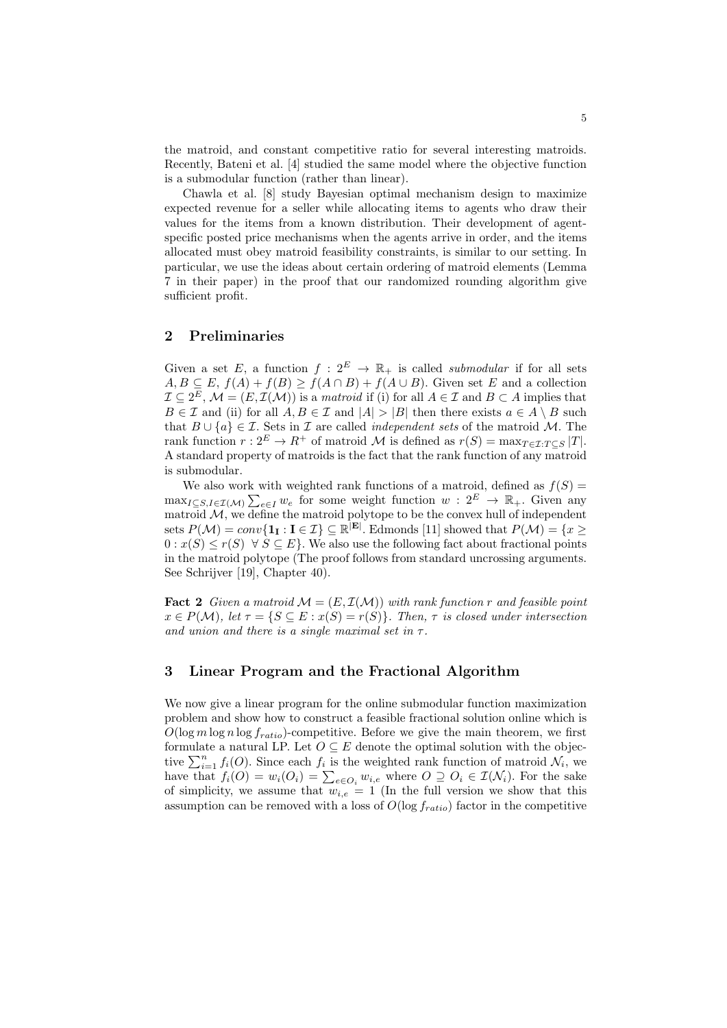the matroid, and constant competitive ratio for several interesting matroids. Recently, Bateni et al. [4] studied the same model where the objective function is a submodular function (rather than linear).

Chawla et al. [8] study Bayesian optimal mechanism design to maximize expected revenue for a seller while allocating items to agents who draw their values for the items from a known distribution. Their development of agentspecific posted price mechanisms when the agents arrive in order, and the items allocated must obey matroid feasibility constraints, is similar to our setting. In particular, we use the ideas about certain ordering of matroid elements (Lemma 7 in their paper) in the proof that our randomized rounding algorithm give sufficient profit.

# 2 Preliminaries

Given a set E, a function  $f: 2^E \to \mathbb{R}_+$  is called *submodular* if for all sets  $A, B \subseteq E, f(A) + f(B) \ge f(A \cap B) + f(A \cup B)$ . Given set E and a collection  $\mathcal{I} \subseteq 2^E$ ,  $\mathcal{M} = (E, \mathcal{I}(\mathcal{M}))$  is a matroid if (i) for all  $A \in \mathcal{I}$  and  $B \subset A$  implies that  $B \in \mathcal{I}$  and (ii) for all  $A, B \in \mathcal{I}$  and  $|A| > |B|$  then there exists  $a \in A \setminus B$  such that  $B \cup \{a\} \in \mathcal{I}$ . Sets in  $\mathcal{I}$  are called *independent sets* of the matroid M. The rank function  $r: 2^E \to R^+$  of matroid M is defined as  $r(S) = \max_{T \in \mathcal{I}: T \subseteq S} |T|$ . A standard property of matroids is the fact that the rank function of any matroid is submodular.

We also work with weighted rank functions of a matroid, defined as  $f(S)$  =  $\max_{I \subseteq S, I \in \mathcal{I}(\mathcal{M})} \sum_{e \in I} w_e$  for some weight function  $w : 2^E \to \mathbb{R}_+$ . Given any matroid  $\mathcal{M}$ , we define the matroid polytope to be the convex hull of independent sets  $P(\mathcal{M}) = conv\{\mathbf{1}_{\mathbf{I}} : \mathbf{I} \in \mathcal{I}\} \subseteq \mathbb{R}^{|\mathbf{E}|}$ . Edmonds [11] showed that  $P(\mathcal{M}) = \{x \geq$  $0: x(S) \leq r(S) \ \forall S \subseteq E$ . We also use the following fact about fractional points in the matroid polytope (The proof follows from standard uncrossing arguments. See Schrijver [19], Chapter 40).

**Fact 2** Given a matroid  $\mathcal{M} = (E, \mathcal{I}(\mathcal{M}))$  with rank function r and feasible point  $x \in P(\mathcal{M})$ , let  $\tau = \{S \subseteq E : x(S) = r(S)\}\$ . Then,  $\tau$  is closed under intersection and union and there is a single maximal set in  $\tau$ .

# 3 Linear Program and the Fractional Algorithm

We now give a linear program for the online submodular function maximization problem and show how to construct a feasible fractional solution online which is  $O(\log m \log n \log f_{ratio})$ -competitive. Before we give the main theorem, we first formulate a natural LP. Let  $O \subseteq E$  denote the optimal solution with the objective  $\sum_{i=1}^{n} f_i(0)$ . Since each  $f_i$  is the weighted rank function of matroid  $\mathcal{N}_i$ , we have that  $f_i(O) = w_i(O_i) = \sum_{e \in O_i} w_{i,e}$  where  $O \supseteq O_i \in \mathcal{I}(\mathcal{N}_i)$ . For the sake of simplicity, we assume that  $w_{i,e} = 1$  (In the full version we show that this assumption can be removed with a loss of  $O(\log f_{ratio})$  factor in the competitive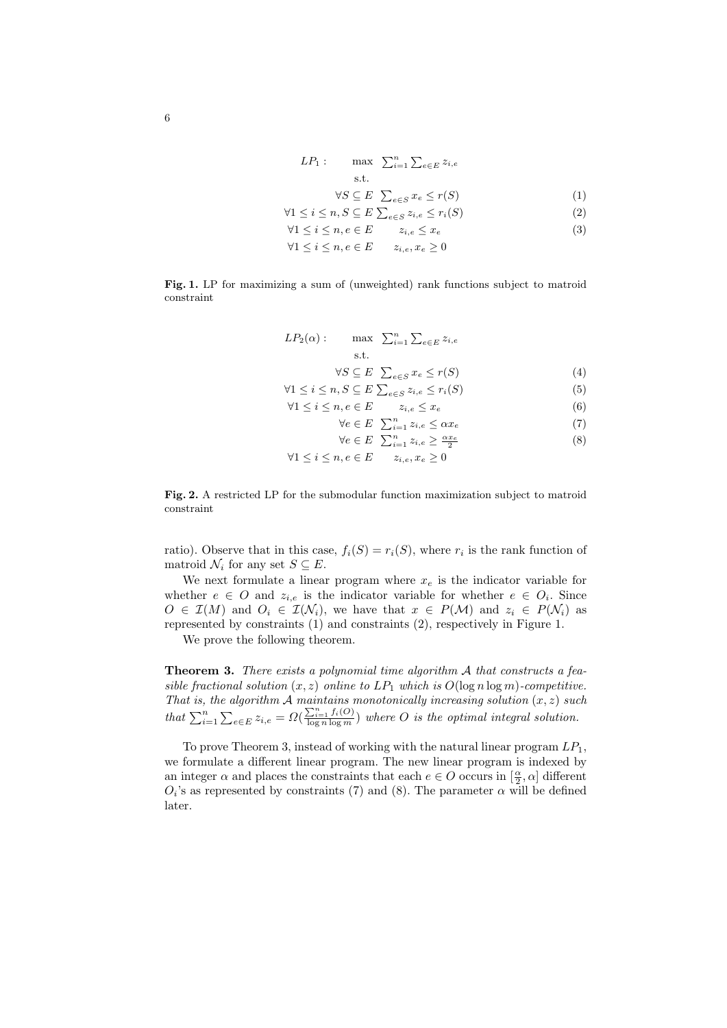$$
LP_1: \max \sum_{i=1}^n \sum_{e \in E} z_{i,e}
$$
  
s.t.

$$
\forall S \subseteq E \quad \sum_{e \in S} x_e \le r(S) \tag{1}
$$

$$
\forall 1 \le i \le n, S \subseteq E \sum_{e \in S} z_{i,e} \le r_i(S) \tag{2}
$$
  

$$
\forall 1 \le i \le n, e \in E \qquad z_{i,e} \le x_e \tag{3}
$$

$$
\forall 1 \leq i \leq n, e \in E \qquad z_{i,e}, x_e \geq 0
$$

Fig. 1. LP for maximizing a sum of (unweighted) rank functions subject to matroid constraint

$$
LP_2(\alpha): \max \sum_{i=1}^n \sum_{e \in E} z_{i,e}
$$
  
s.t.  

$$
\forall S \subseteq E \sum_{e \in S} x_e \le r(S)
$$
 (4)

$$
\forall 1 \leq i \leq n, S \subseteq E \sum_{e \in S} z_{i,e} \leq r_i(S) \tag{5}
$$

$$
\forall 1 \le i \le n, e \in E \qquad z_{i,e} \le x_e \tag{6}
$$

$$
\forall e \in E \quad \sum_{i=1}^{n} z_{i,e} \le \alpha x_e \tag{7}
$$

$$
\forall e \in E \quad \sum_{i=1}^{n} z_{i,e} \ge \frac{\alpha x_e}{2} \tag{8}
$$

$$
\forall 1 \le i \le n, e \in E \qquad z_{i,e}, x_e \ge 0
$$

Fig. 2. A restricted LP for the submodular function maximization subject to matroid constraint

ratio). Observe that in this case,  $f_i(S) = r_i(S)$ , where  $r_i$  is the rank function of matroid  $\mathcal{N}_i$  for any set  $S \subseteq E$ .

We next formulate a linear program where  $x_e$  is the indicator variable for whether  $e \in O$  and  $z_{i,e}$  is the indicator variable for whether  $e \in O_i$ . Since  $O \in \mathcal{I}(M)$  and  $O_i \in \mathcal{I}(\mathcal{N}_i)$ , we have that  $x \in P(\mathcal{M})$  and  $z_i \in P(\mathcal{N}_i)$  as represented by constraints (1) and constraints (2), respectively in Figure 1.

We prove the following theorem.

**Theorem 3.** There exists a polynomial time algorithm  $A$  that constructs a feasible fractional solution  $(x, z)$  online to  $LP_1$  which is  $O(\log n \log m)$ -competitive. That is, the algorithm A maintains monotonically increasing solution  $(x, z)$  such that  $\sum_{i=1}^n \sum_{e \in E} z_{i,e} = \Omega(\frac{\sum_{i=1}^n f_i(O)}{\log n \log m})$  where O is the optimal integral solution.

To prove Theorem 3, instead of working with the natural linear program  $LP_1$ , we formulate a different linear program. The new linear program is indexed by an integer  $\alpha$  and places the constraints that each  $e \in O$  occurs in  $[\frac{\alpha}{2}, \alpha]$  different  $O_i$ 's as represented by constraints (7) and (8). The parameter  $\alpha$  will be defined later.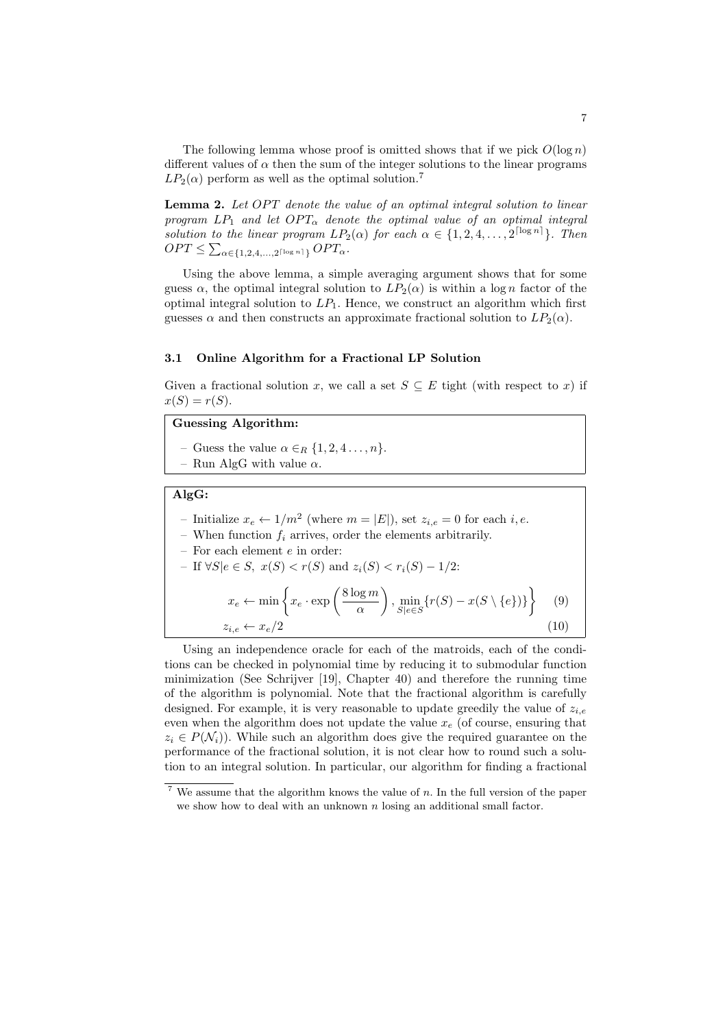The following lemma whose proof is omitted shows that if we pick  $O(\log n)$ different values of  $\alpha$  then the sum of the integer solutions to the linear programs  $LP_2(\alpha)$  perform as well as the optimal solution.<sup>7</sup>

**Lemma 2.** Let  $OPT$  denote the value of an optimal integral solution to linear program  $LP_1$  and let  $OPT_{\alpha}$  denote the optimal value of an optimal integral solution to the linear program  $LP_2(\alpha)$  for each  $\alpha \in \{1, 2, 4, ..., 2^{\lceil \log n \rceil}\}\.$  Then  $OPT \leq \sum_{\alpha \in \{1,2,4,\ldots,2^{\lceil \log n \rceil}\}} OPT_\alpha.$ 

Using the above lemma, a simple averaging argument shows that for some guess  $\alpha$ , the optimal integral solution to  $LP_2(\alpha)$  is within a log n factor of the optimal integral solution to  $LP_1$ . Hence, we construct an algorithm which first guesses  $\alpha$  and then constructs an approximate fractional solution to  $LP_2(\alpha)$ .

#### 3.1 Online Algorithm for a Fractional LP Solution

Given a fractional solution x, we call a set  $S \subseteq E$  tight (with respect to x) if  $x(S) = r(S)$ .

# Guessing Algorithm:

- Guess the value  $\alpha \in_R \{1, 2, 4, \ldots, n\}.$
- Run AlgG with value  $\alpha$ .

# AlgG:

- Initialize  $x_e \leftarrow 1/m^2$  (where  $m = |E|$ ), set  $z_{i,e} = 0$  for each i, e.
- When function  $f_i$  arrives, order the elements arbitrarily.
- For each element  $e$  in order:  $\;$
- If  $\forall S | e \in S$ ,  $x(S) < r(S)$  and  $z_i(S) < r_i(S) 1/2$ :

$$
x_e \leftarrow \min \left\{ x_e \cdot \exp\left(\frac{8\log m}{\alpha}\right), \min_{S \mid e \in S} \{ r(S) - x(S \setminus \{e\}) \} \right\} \tag{9}
$$
  

$$
z_{i,e} \leftarrow x_e/2 \tag{10}
$$

Using an independence oracle for each of the matroids, each of the conditions can be checked in polynomial time by reducing it to submodular function minimization (See Schrijver [19], Chapter 40) and therefore the running time of the algorithm is polynomial. Note that the fractional algorithm is carefully designed. For example, it is very reasonable to update greedily the value of  $z_{i,e}$ even when the algorithm does not update the value  $x_e$  (of course, ensuring that  $z_i \in P(\mathcal{N}_i)$ . While such an algorithm does give the required guarantee on the performance of the fractional solution, it is not clear how to round such a solution to an integral solution. In particular, our algorithm for finding a fractional

We assume that the algorithm knows the value of  $n$ . In the full version of the paper we show how to deal with an unknown  $n$  losing an additional small factor.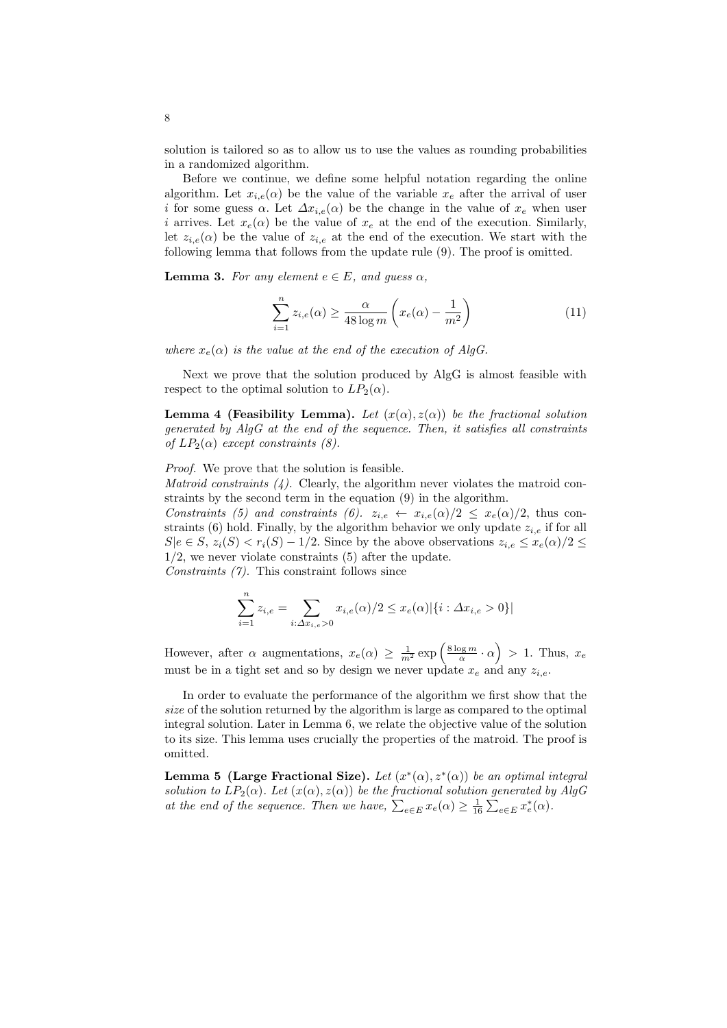solution is tailored so as to allow us to use the values as rounding probabilities in a randomized algorithm.

Before we continue, we define some helpful notation regarding the online algorithm. Let  $x_{i,e}(\alpha)$  be the value of the variable  $x_e$  after the arrival of user i for some guess  $\alpha$ . Let  $\Delta x_{i,e}(\alpha)$  be the change in the value of  $x_e$  when user i arrives. Let  $x_e(\alpha)$  be the value of  $x_e$  at the end of the execution. Similarly, let  $z_{i,e}(\alpha)$  be the value of  $z_{i,e}$  at the end of the execution. We start with the following lemma that follows from the update rule (9). The proof is omitted.

**Lemma 3.** For any element  $e \in E$ , and guess  $\alpha$ ,

$$
\sum_{i=1}^{n} z_{i,e}(\alpha) \ge \frac{\alpha}{48 \log m} \left( x_e(\alpha) - \frac{1}{m^2} \right)
$$
 (11)

where  $x_e(\alpha)$  is the value at the end of the execution of AlgG.

Next we prove that the solution produced by AlgG is almost feasible with respect to the optimal solution to  $LP_2(\alpha)$ .

**Lemma 4 (Feasibility Lemma).** Let  $(x(\alpha), z(\alpha))$  be the fractional solution generated by AlgG at the end of the sequence. Then, it satisfies all constraints of  $LP_2(\alpha)$  except constraints (8).

Proof. We prove that the solution is feasible.

 $i=1$ 

*Matroid constraints*  $(4)$ . Clearly, the algorithm never violates the matroid constraints by the second term in the equation (9) in the algorithm.

Constraints (5) and constraints (6).  $z_{i,e} \leftarrow x_{i,e}(\alpha)/2 \leq x_e(\alpha)/2$ , thus constraints (6) hold. Finally, by the algorithm behavior we only update  $z_{i,e}$  if for all  $S|e \in S$ ,  $z_i(S) < r_i(S) - 1/2$ . Since by the above observations  $z_{i,e} \leq x_e(\alpha)/2 \leq$ 1/2, we never violate constraints (5) after the update. Constraints (7). This constraint follows since

> $\sum_{n=1}^{\infty}$  $z_{i,e} = \sum$  $x_{i,e}(\alpha)/2 \leq x_e(\alpha) |\{i : \Delta x_{i,e} > 0\}|$

> > $i:\!\Delta x_{i,e}\!\!>\!\!0$

However, after  $\alpha$  augmentations,  $x_e(\alpha) \geq \frac{1}{m^2} \exp\left(\frac{8 \log m}{\alpha} \cdot \alpha\right) > 1$ . Thus,  $x_e$ must be in a tight set and so by design we never update  $x_e$  and any  $z_{i,e}$ .

In order to evaluate the performance of the algorithm we first show that the size of the solution returned by the algorithm is large as compared to the optimal integral solution. Later in Lemma 6, we relate the objective value of the solution to its size. This lemma uses crucially the properties of the matroid. The proof is omitted.

Lemma 5 (Large Fractional Size). Let  $(x^*(\alpha), z^*(\alpha))$  be an optimal integral solution to  $LP_2(\alpha)$ . Let  $(x(\alpha), z(\alpha))$  be the fractional solution generated by AlgG at the end of the sequence. Then we have,  $\sum_{e \in E} x_e(\alpha) \geq \frac{1}{16} \sum_{e \in E} x_e^*(\alpha)$ .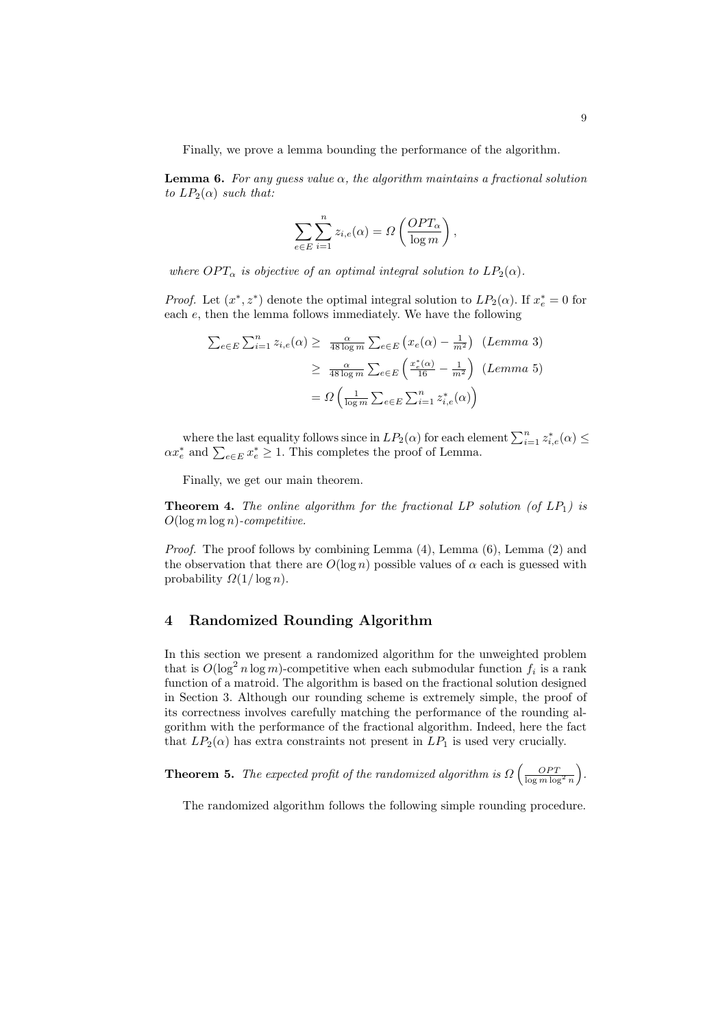Finally, we prove a lemma bounding the performance of the algorithm.

**Lemma 6.** For any quess value  $\alpha$ , the algorithm maintains a fractional solution to  $LP_2(\alpha)$  such that:

$$
\sum_{e \in E} \sum_{i=1}^n z_{i,e}(\alpha) = \Omega\left(\frac{OPT_\alpha}{\log m}\right),
$$

where  $OPT_{\alpha}$  is objective of an optimal integral solution to  $LP_2(\alpha)$ .

*Proof.* Let  $(x^*, z^*)$  denote the optimal integral solution to  $LP_2(\alpha)$ . If  $x_e^* = 0$  for each e, then the lemma follows immediately. We have the following

$$
\sum_{e \in E} \sum_{i=1}^{n} z_{i,e}(\alpha) \ge \frac{\alpha}{48 \log m} \sum_{e \in E} (x_e(\alpha) - \frac{1}{m^2}) \quad (Lemma 3)
$$

$$
\ge \frac{\alpha}{48 \log m} \sum_{e \in E} \left( \frac{x_e^*(\alpha)}{16} - \frac{1}{m^2} \right) \quad (Lemma 5)
$$

$$
= \Omega \left( \frac{1}{\log m} \sum_{e \in E} \sum_{i=1}^{n} z_{i,e}^*(\alpha) \right)
$$

where the last equality follows since in  $LP_2(\alpha)$  for each element  $\sum_{i=1}^n z_{i,e}^*(\alpha) \leq$  $\alpha x_e^*$  and  $\sum_{e \in E} x_e^* \ge 1$ . This completes the proof of Lemma.

Finally, we get our main theorem.

**Theorem 4.** The online algorithm for the fractional LP solution (of  $LP_1$ ) is  $O(\log m \log n)$ -competitive.

Proof. The proof follows by combining Lemma (4), Lemma (6), Lemma (2) and the observation that there are  $O(\log n)$  possible values of  $\alpha$  each is guessed with probability  $\Omega(1/\log n)$ .

# 4 Randomized Rounding Algorithm

In this section we present a randomized algorithm for the unweighted problem that is  $O(\log^2 n \log m)$ -competitive when each submodular function  $f_i$  is a rank function of a matroid. The algorithm is based on the fractional solution designed in Section 3. Although our rounding scheme is extremely simple, the proof of its correctness involves carefully matching the performance of the rounding algorithm with the performance of the fractional algorithm. Indeed, here the fact that  $LP_2(\alpha)$  has extra constraints not present in  $LP_1$  is used very crucially.

**Theorem 5.** The expected profit of the randomized algorithm is  $\Omega\left(\frac{OPT}{\log m \log^2 n}\right)$ .

The randomized algorithm follows the following simple rounding procedure.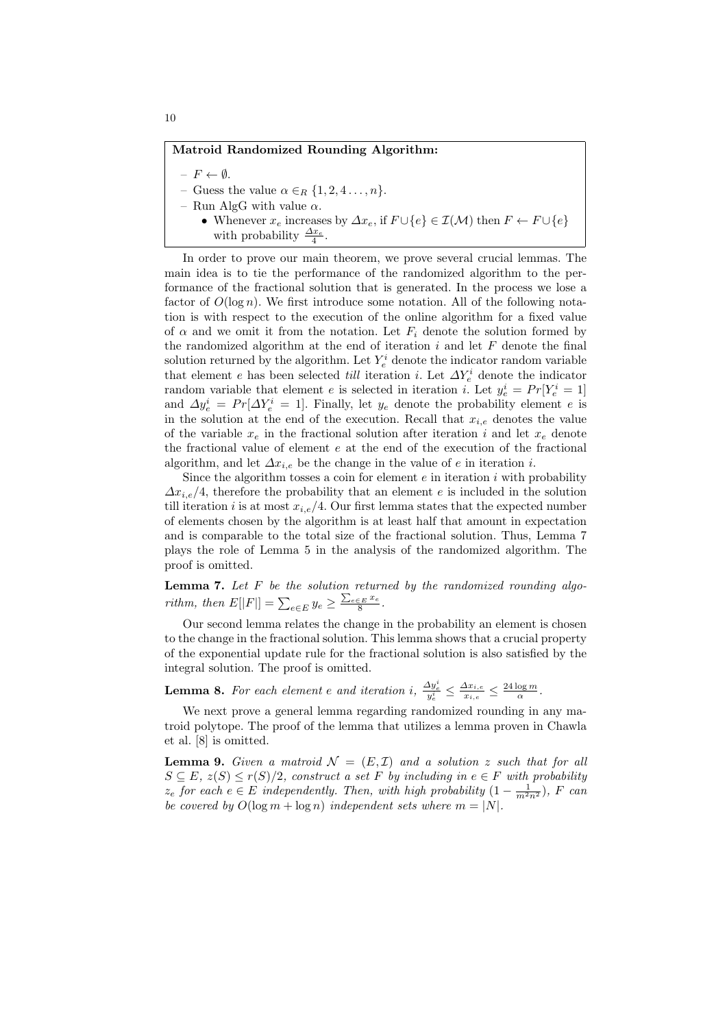#### Matroid Randomized Rounding Algorithm:

- $F \leftarrow \emptyset$ .
- Guess the value  $\alpha \in_R \{1, 2, 4, \ldots, n\}.$
- Run AlgG with value  $\alpha$ .
	- Whenever  $x_e$  increases by  $\Delta x_e$ , if  $F \cup \{e\} \in \mathcal{I}(\mathcal{M})$  then  $F \leftarrow F \cup \{e\}$ with probability  $\frac{\Delta x_e}{4}$ .

In order to prove our main theorem, we prove several crucial lemmas. The main idea is to tie the performance of the randomized algorithm to the performance of the fractional solution that is generated. In the process we lose a factor of  $O(\log n)$ . We first introduce some notation. All of the following notation is with respect to the execution of the online algorithm for a fixed value of  $\alpha$  and we omit it from the notation. Let  $F_i$  denote the solution formed by the randomized algorithm at the end of iteration  $i$  and let  $F$  denote the final solution returned by the algorithm. Let  $Y_e^i$  denote the indicator random variable that element e has been selected *till* iteration *i*. Let  $\Delta Y_e^i$  denote the indicator random variable that element  $e$  is selected in iteration *i*. Let  $y_e^i = Pr[Y_e^i = 1]$ and  $\Delta y_e^i = Pr[\Delta Y_e^i = 1]$ . Finally, let  $y_e$  denote the probability element e is in the solution at the end of the execution. Recall that  $x_{i,e}$  denotes the value of the variable  $x_e$  in the fractional solution after iteration i and let  $x_e$  denote the fractional value of element  $e$  at the end of the execution of the fractional algorithm, and let  $\Delta x_{i,e}$  be the change in the value of e in iteration i.

Since the algorithm tosses a coin for element  $e$  in iteration  $i$  with probability  $\Delta x_{i,e}/4$ , therefore the probability that an element e is included in the solution till iteration i is at most  $x_{i,e}/4$ . Our first lemma states that the expected number of elements chosen by the algorithm is at least half that amount in expectation and is comparable to the total size of the fractional solution. Thus, Lemma 7 plays the role of Lemma 5 in the analysis of the randomized algorithm. The proof is omitted.

**Lemma 7.** Let  $F$  be the solution returned by the randomized rounding algorithm, then  $E[|F|] = \sum_{e \in E} y_e \ge \frac{\sum_{e \in E} x_e}{8}$ .

Our second lemma relates the change in the probability an element is chosen to the change in the fractional solution. This lemma shows that a crucial property of the exponential update rule for the fractional solution is also satisfied by the integral solution. The proof is omitted.

**Lemma 8.** For each element e and iteration i,  $\frac{\Delta y_e^i}{y_e^i} \leq \frac{\Delta x_{i,e}}{x_{i,e}}$  $\frac{\Delta x_{i,e}}{x_{i,e}} \leq \frac{24 \log m}{\alpha}.$ 

We next prove a general lemma regarding randomized rounding in any matroid polytope. The proof of the lemma that utilizes a lemma proven in Chawla et al. [8] is omitted.

**Lemma 9.** Given a matroid  $\mathcal{N} = (E, \mathcal{I})$  and a solution z such that for all  $S \subseteq E$ ,  $z(S) \leq r(S)/2$ , construct a set F by including in  $e \in F$  with probability  $z_e$  for each  $e \in E$  independently. Then, with high probability  $(1 - \frac{1}{m^2 n^2})$ , F can be covered by  $O(\log m + \log n)$  independent sets where  $m = |N|$ .

10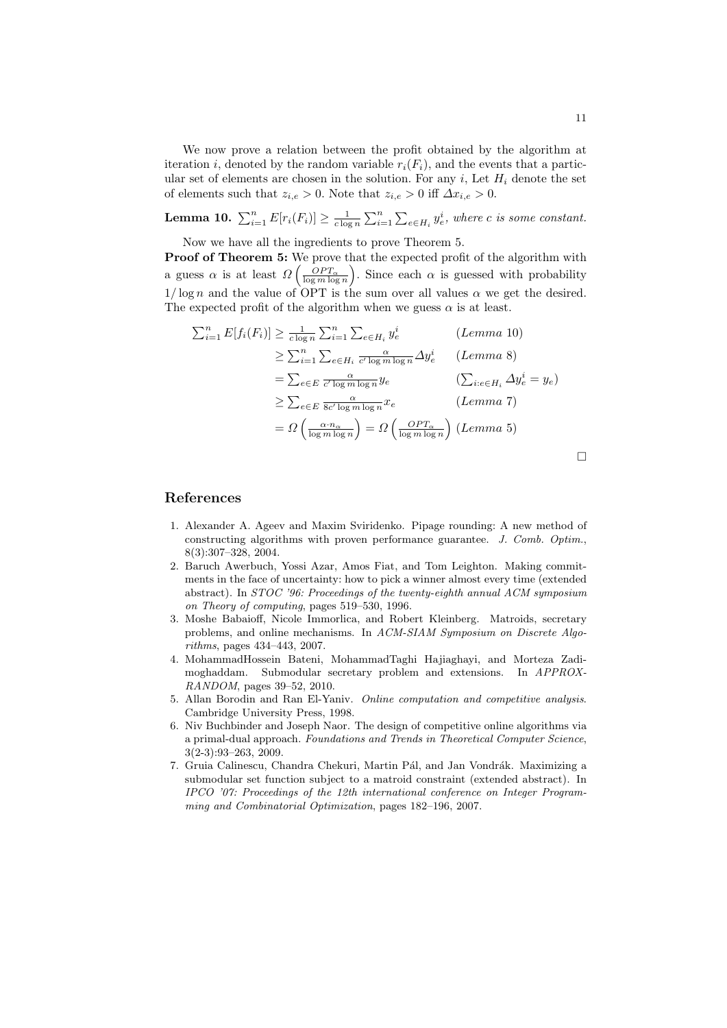We now prove a relation between the profit obtained by the algorithm at iteration i, denoted by the random variable  $r_i(F_i)$ , and the events that a particular set of elements are chosen in the solution. For any  $i$ , Let  $H_i$  denote the set of elements such that  $z_{i,e} > 0$ . Note that  $z_{i,e} > 0$  iff  $\Delta x_{i,e} > 0$ .

**Lemma 10.**  $\sum_{i=1}^{n} E[r_i(F_i)] \geq \frac{1}{c \log n} \sum_{i=1}^{n} \sum_{e \in H_i} y_e^i$ , where c is some constant.

Now we have all the ingredients to prove Theorem 5.

Proof of Theorem 5: We prove that the expected profit of the algorithm with a guess  $\alpha$  is at least  $\Omega\left(\frac{OPT_{\alpha}}{\log m \log n}\right)$ . Since each  $\alpha$  is guessed with probability  $1/\log n$  and the value of OPT is the sum over all values  $\alpha$  we get the desired. The expected profit of the algorithm when we guess  $\alpha$  is at least.

$$
\sum_{i=1}^{n} E[f_i(F_i)] \ge \frac{1}{c \log n} \sum_{i=1}^{n} \sum_{e \in H_i} y_e^i
$$
 (*Lemma 10*)  
\n
$$
\ge \sum_{i=1}^{n} \sum_{e \in H_i} \frac{\alpha}{c' \log m \log n} \Delta y_e^i
$$
 (*Lemma 8*)  
\n
$$
= \sum_{e \in E} \frac{\alpha}{c' \log m \log n} y_e
$$
 (*Lemma 8*)  
\n
$$
\ge \sum_{e \in E} \frac{\alpha}{8c' \log m \log n} x_e
$$
 (*Lemma 7*)  
\n
$$
= \Omega \left( \frac{\alpha \cdot n_{\alpha}}{\log m \log n} \right) = \Omega \left( \frac{OPT_{\alpha}}{\log m \log n} \right) (Lemma 5)
$$

# $\Box$

# References

- 1. Alexander A. Ageev and Maxim Sviridenko. Pipage rounding: A new method of constructing algorithms with proven performance guarantee. J. Comb. Optim., 8(3):307–328, 2004.
- 2. Baruch Awerbuch, Yossi Azar, Amos Fiat, and Tom Leighton. Making commitments in the face of uncertainty: how to pick a winner almost every time (extended abstract). In STOC '96: Proceedings of the twenty-eighth annual ACM symposium on Theory of computing, pages 519–530, 1996.
- 3. Moshe Babaioff, Nicole Immorlica, and Robert Kleinberg. Matroids, secretary problems, and online mechanisms. In ACM-SIAM Symposium on Discrete Algorithms, pages 434–443, 2007.
- 4. MohammadHossein Bateni, MohammadTaghi Hajiaghayi, and Morteza Zadimoghaddam. Submodular secretary problem and extensions. In APPROX-RANDOM, pages 39–52, 2010.
- 5. Allan Borodin and Ran El-Yaniv. Online computation and competitive analysis. Cambridge University Press, 1998.
- 6. Niv Buchbinder and Joseph Naor. The design of competitive online algorithms via a primal-dual approach. Foundations and Trends in Theoretical Computer Science, 3(2-3):93–263, 2009.
- 7. Gruia Calinescu, Chandra Chekuri, Martin Pál, and Jan Vondrák. Maximizing a submodular set function subject to a matroid constraint (extended abstract). In IPCO '07: Proceedings of the 12th international conference on Integer Programming and Combinatorial Optimization, pages 182–196, 2007.